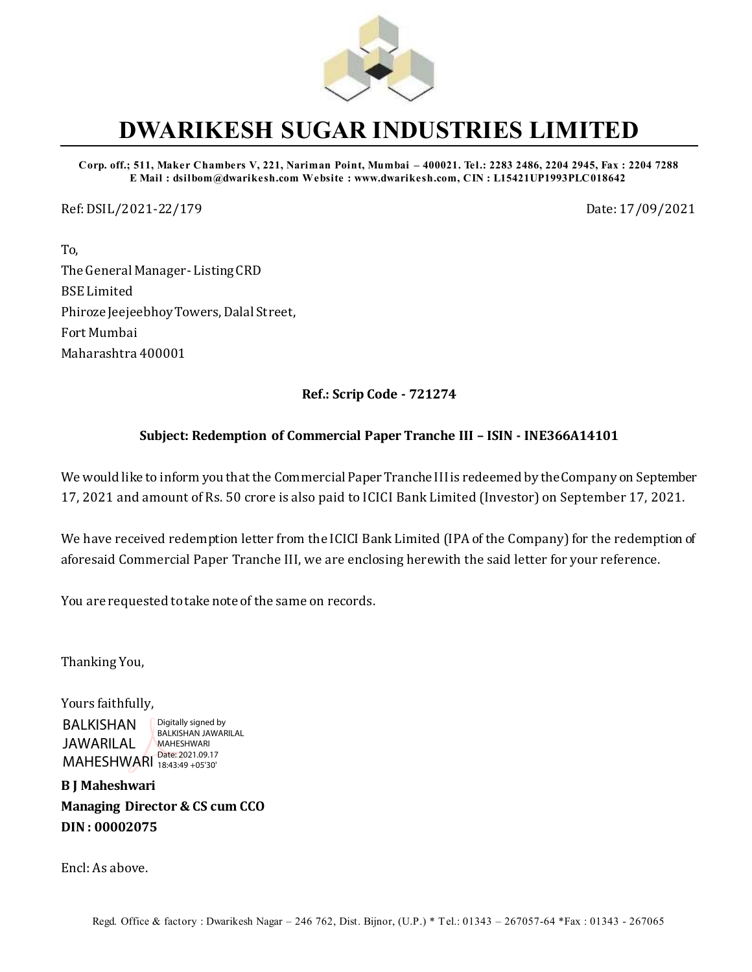

# **DWARIKESH SUGAR INDUSTRIES LIMITED**

**Corp. off.; 511, Maker Chambers V, 221, Nariman Point, Mumbai – 400021. Tel.: 2283 2486, 2204 2945, Fax : 2204 7288 E Mail : dsilbom@dwarikesh.com Website : www.dwarikesh.com, CIN : L15421UP1993PLC018642**

Ref: DSIL/2021-22/179 Date: 17/09/2021

To, The General Manager- Listing CRD BSE Limited Phiroze Jeejeebhoy Towers, Dalal Street, Fort Mumbai Maharashtra 400001

**Ref.: Scrip Code - 721274**

## **Subject: Redemption of Commercial Paper Tranche III – ISIN - INE366A14101**

We would like to inform you that the Commercial Paper Tranche III is redeemed by the Company on September 17, 2021 and amount of Rs. 50 crore is also paid to ICICI Bank Limited (Investor) on September 17, 2021.

We have received redemption letter from the ICICI Bank Limited (IPA of the Company) for the redemption of aforesaid Commercial Paper Tranche III, we are enclosing herewith the said letter for your reference.

You are requested to take note of the same on records.

Thanking You,

Yours faithfully, BALKISHAN JAWARILAL MAHESHWARI Date: 2021.09.17 Digitally signed by BALKISHAN JAWARILAL MAHESHWARI 18:43:49 +05'30'

**B J Maheshwari Managing Director & CS cum CCO DIN : 00002075**

Encl: As above.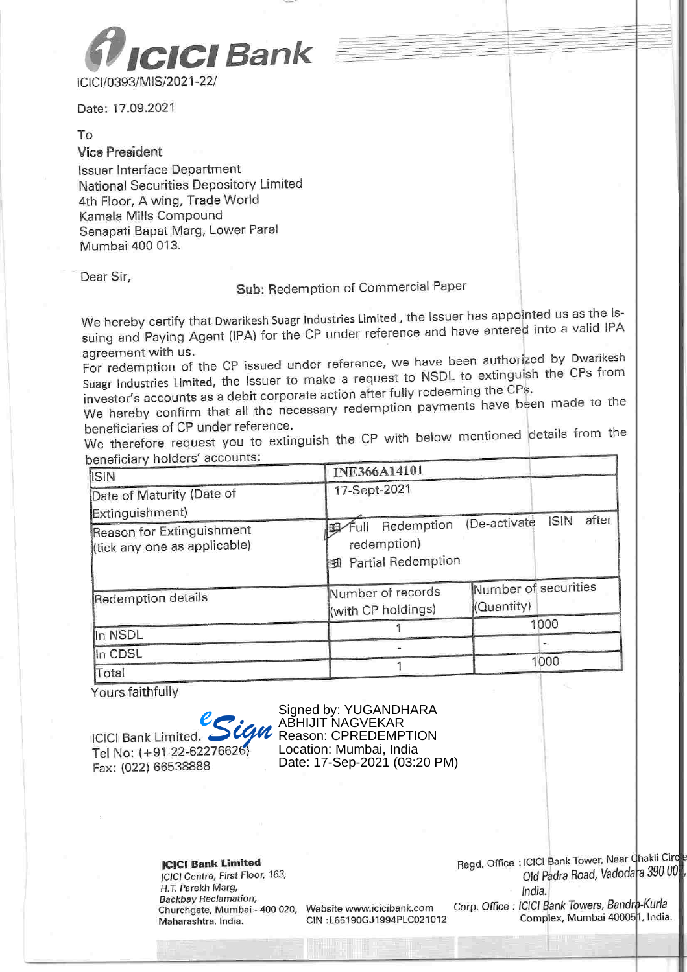

Date: 17.09.2021

#### To

#### **Vice President**

**Issuer Interface Department** National Securities Depository Limited 4th Floor, A wing, Trade World Kamala Mills Compound Senapati Bapat Marg, Lower Parel Mumbai 400 013.

Dear Sir,

### Sub: Redemption of Commercial Paper

We hereby certify that Dwarikesh Suagr Industries Limited, the Issuer has appointed us as the Issuing and Paying Agent (IPA) for the CP under reference and have entered into a valid IPA agreement with us.

For redemption of the CP issued under reference, we have been authorized by Dwarikesh Suagr Industries Limited, the Issuer to make a request to NSDL to extinguish the CPs from investor's accounts as a debit corporate action after fully redeeming the CPs.

We hereby confirm that all the necessary redemption payments have been made to the beneficiaries of CP under reference.

We therefore request you to extinguish the CP with below mentioned details from the beneficiary holders' accounts:

| Jellencial y Holders asseama<br><b>ISIN</b>               | <b>INE366A14101</b>                                               |                                      |  |
|-----------------------------------------------------------|-------------------------------------------------------------------|--------------------------------------|--|
| Date of Maturity (Date of<br>Extinguishment)              | 17-Sept-2021                                                      |                                      |  |
| Reason for Extinguishment<br>(tick any one as applicable) | Redemption<br>∕Full<br>redemption)<br><b>B</b> Partial Redemption | after<br><b>ISIN</b><br>(De-activate |  |
| Redemption details                                        | Number of records<br>(with CP holdings)                           | Number of securities<br>(Quantity)   |  |
| In NSDL                                                   |                                                                   | 1000                                 |  |
| In CDSL                                                   |                                                                   | ×                                    |  |
| Total                                                     |                                                                   | 1000                                 |  |

Yours faithfully

**ICICI Bank Limited.** Tel No: (+91-22-62276626) Fax: (022) 66538888

Signed by: YUGANDHARA ABHIJIT NAGVEKAR Reason: CPREDEMPTION Location: Mumbai. India Date: 17-Sep-2021 (03:20 PM)

**ICICI Bank Limited** ICICI Centre, First Floor, 163, H.T. Parekh Marg, Backbay Reclamation, Churchgate, Mumbai - 400 020, Maharashtra, India.

Website www.icicibank.com CIN : L65190GJ1994PLC021012 Regd. Office: ICICI Bank Tower, Near Chakli Circ Old Padra Road, Vadodara 390 00 India.

Corp. Office: ICICI Bank Towers, Bandra-Kurla Complex, Mumbai 400051, India.